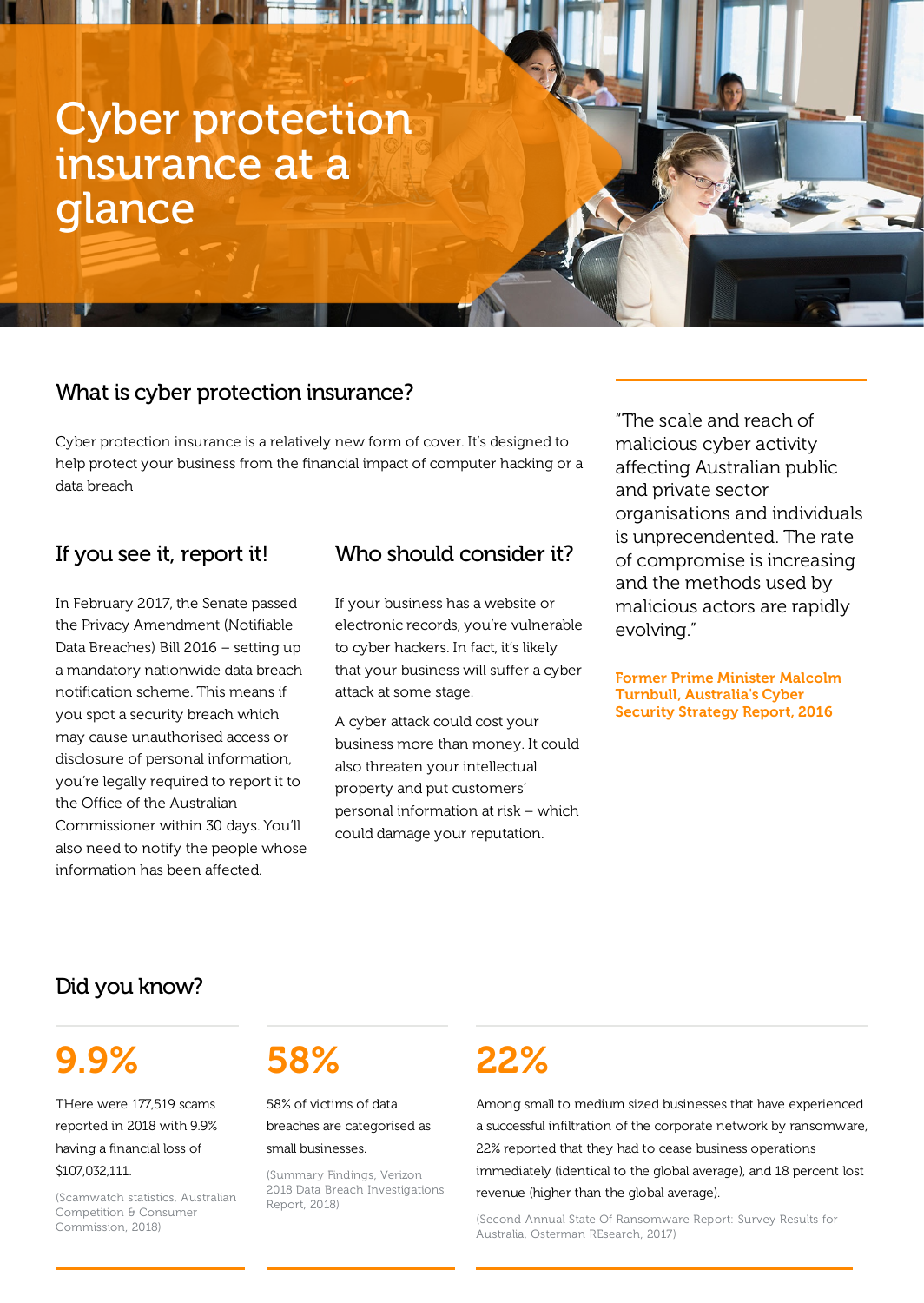# Cyber protection insurance at a glance

## What is cyber protection insurance?

Cyber protection insurance is a relatively new form of cover. It's designed to help protect your business from the financial impact of computer hacking or a data breach

## If you see it, report it!

In February 2017, the Senate passed the Privacy Amendment (Notifiable Data Breaches) Bill 2016 – setting up a mandatory nationwide data breach notification scheme. This means if you spot a security breach which may cause unauthorised access or disclosure of personal information, you're legally required to report it to the Office of the Australian Commissioner within 30 days. You'll also need to notify the people whose information has been affected.

## Who should consider it?

If your business has a website or electronic records, you're vulnerable to cyber hackers. In fact, it's likely that your business will suffer a cyber attack at some stage.

A cyber attack could cost your business more than money. It could also threaten your intellectual property and put customers' personal information at risk – which could damage your reputation.

"The scale and reach of malicious cyber activity affecting Australian public and private sector organisations and individuals is unprecendented. The rate of compromise is increasing and the methods used by malicious actors are rapidly evolving."

Former Prime Minister Malcolm Turnbull, Australia's Cyber Security Strategy Report, 2016

## Did you know?

## 9.9%

THere were 177,519 scams reported in 2018 with 9.9% having a financial loss of \$107,032,111.

(Scamwatch statistics, Australian Competition & Consumer Commission, 2018)

# 58%

58% of victims of data breaches are categorised as

#### small businesses.

(Summary Findings, Verizon 2018 Data Breach Investigations Report, 2018)

## 22%

Among small to medium sized businesses that have experienced a successful infiltration of the corporate network by ransomware, 22% reported that they had to cease business operations immediately (identical to the global average), and 18 percent lost revenue (higher than the global average).

(Second Annual State Of Ransomware Report: Survey Results for Australia, Osterman REsearch, 2017)